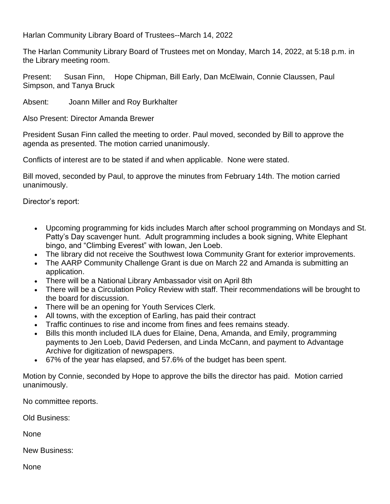Harlan Community Library Board of Trustees--March 14, 2022

The Harlan Community Library Board of Trustees met on Monday, March 14, 2022, at 5:18 p.m. in the Library meeting room.

Present: Susan Finn, Hope Chipman, Bill Early, Dan McElwain, Connie Claussen, Paul Simpson, and Tanya Bruck

Absent: Joann Miller and Roy Burkhalter

Also Present: Director Amanda Brewer

President Susan Finn called the meeting to order. Paul moved, seconded by Bill to approve the agenda as presented. The motion carried unanimously.

Conflicts of interest are to be stated if and when applicable. None were stated.

Bill moved, seconded by Paul, to approve the minutes from February 14th. The motion carried unanimously.

Director's report:

- Upcoming programming for kids includes March after school programming on Mondays and St. Patty's Day scavenger hunt. Adult programming includes a book signing, White Elephant bingo, and "Climbing Everest" with Iowan, Jen Loeb.
- The library did not receive the Southwest Iowa Community Grant for exterior improvements.
- The AARP Community Challenge Grant is due on March 22 and Amanda is submitting an application.
- There will be a National Library Ambassador visit on April 8th
- There will be a Circulation Policy Review with staff. Their recommendations will be brought to the board for discussion.
- There will be an opening for Youth Services Clerk.
- All towns, with the exception of Earling, has paid their contract
- Traffic continues to rise and income from fines and fees remains steady.
- Bills this month included ILA dues for Elaine, Dena, Amanda, and Emily, programming payments to Jen Loeb, David Pedersen, and Linda McCann, and payment to Advantage Archive for digitization of newspapers.
- 67% of the year has elapsed, and 57.6% of the budget has been spent.

Motion by Connie, seconded by Hope to approve the bills the director has paid. Motion carried unanimously.

No committee reports.

Old Business:

None

New Business:

None